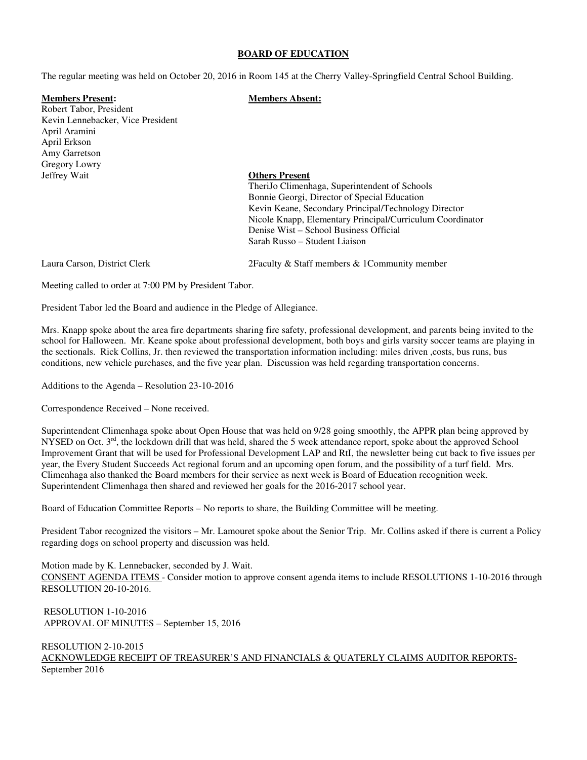### **BOARD OF EDUCATION**

The regular meeting was held on October 20, 2016 in Room 145 at the Cherry Valley-Springfield Central School Building.

## **Members Present: Members Absent:**

Robert Tabor, President Kevin Lennebacker, Vice President April Aramini April Erkson Amy Garretson Gregory Lowry Jeffrey Wait **Others Present**

 TheriJo Climenhaga, Superintendent of Schools Bonnie Georgi, Director of Special Education Kevin Keane, Secondary Principal/Technology Director Nicole Knapp, Elementary Principal/Curriculum Coordinator Denise Wist – School Business Official Sarah Russo – Student Liaison

Laura Carson, District Clerk 2Faculty & Staff members & 1Community member

Meeting called to order at 7:00 PM by President Tabor.

President Tabor led the Board and audience in the Pledge of Allegiance.

Mrs. Knapp spoke about the area fire departments sharing fire safety, professional development, and parents being invited to the school for Halloween. Mr. Keane spoke about professional development, both boys and girls varsity soccer teams are playing in the sectionals. Rick Collins, Jr. then reviewed the transportation information including: miles driven ,costs, bus runs, bus conditions, new vehicle purchases, and the five year plan. Discussion was held regarding transportation concerns.

Additions to the Agenda – Resolution 23-10-2016

Correspondence Received – None received.

Superintendent Climenhaga spoke about Open House that was held on 9/28 going smoothly, the APPR plan being approved by NYSED on Oct.  $3<sup>rd</sup>$ , the lockdown drill that was held, shared the 5 week attendance report, spoke about the approved School Improvement Grant that will be used for Professional Development LAP and RtI, the newsletter being cut back to five issues per year, the Every Student Succeeds Act regional forum and an upcoming open forum, and the possibility of a turf field. Mrs. Climenhaga also thanked the Board members for their service as next week is Board of Education recognition week. Superintendent Climenhaga then shared and reviewed her goals for the 2016-2017 school year.

Board of Education Committee Reports – No reports to share, the Building Committee will be meeting.

President Tabor recognized the visitors – Mr. Lamouret spoke about the Senior Trip. Mr. Collins asked if there is current a Policy regarding dogs on school property and discussion was held.

Motion made by K. Lennebacker, seconded by J. Wait. CONSENT AGENDA ITEMS - Consider motion to approve consent agenda items to include RESOLUTIONS 1-10-2016 through RESOLUTION 20-10-2016.

 RESOLUTION 1-10-2016 APPROVAL OF MINUTES – September 15, 2016

RESOLUTION 2-10-2015 ACKNOWLEDGE RECEIPT OF TREASURER'S AND FINANCIALS & QUATERLY CLAIMS AUDITOR REPORTS-September 2016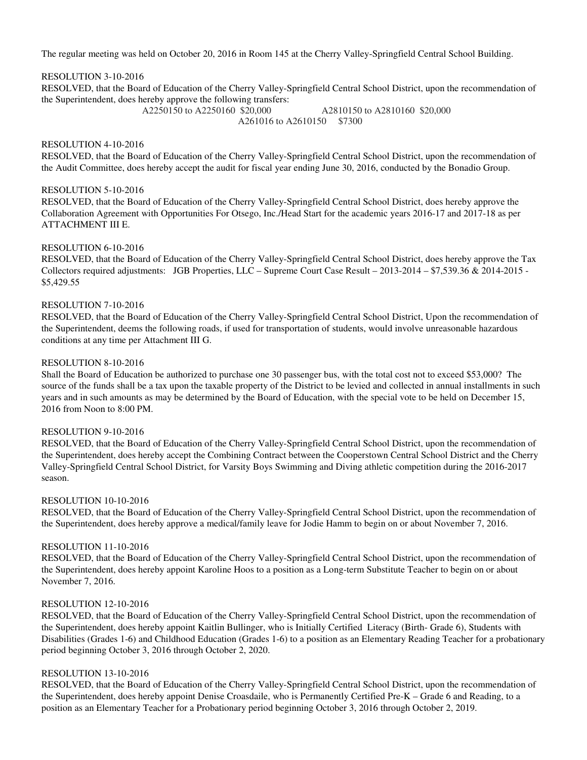The regular meeting was held on October 20, 2016 in Room 145 at the Cherry Valley-Springfield Central School Building.

## RESOLUTION 3-10-2016

RESOLVED, that the Board of Education of the Cherry Valley-Springfield Central School District, upon the recommendation of the Superintendent, does hereby approve the following transfers:

> A2250150 to A2250160 \$20,000 A2810150 to A2810160 \$20,000 A261016 to A2610150 \$7300

## RESOLUTION 4-10-2016

RESOLVED, that the Board of Education of the Cherry Valley-Springfield Central School District, upon the recommendation of the Audit Committee, does hereby accept the audit for fiscal year ending June 30, 2016, conducted by the Bonadio Group.

## RESOLUTION 5-10-2016

RESOLVED, that the Board of Education of the Cherry Valley-Springfield Central School District, does hereby approve the Collaboration Agreement with Opportunities For Otsego, Inc./Head Start for the academic years 2016-17 and 2017-18 as per ATTACHMENT III E.

## RESOLUTION 6-10-2016

RESOLVED, that the Board of Education of the Cherry Valley-Springfield Central School District, does hereby approve the Tax Collectors required adjustments: JGB Properties, LLC – Supreme Court Case Result – 2013-2014 – \$7,539.36 & 2014-2015 - \$5,429.55

## RESOLUTION 7-10-2016

RESOLVED, that the Board of Education of the Cherry Valley-Springfield Central School District, Upon the recommendation of the Superintendent, deems the following roads, if used for transportation of students, would involve unreasonable hazardous conditions at any time per Attachment III G.

## RESOLUTION 8-10-2016

Shall the Board of Education be authorized to purchase one 30 passenger bus, with the total cost not to exceed \$53,000? The source of the funds shall be a tax upon the taxable property of the District to be levied and collected in annual installments in such years and in such amounts as may be determined by the Board of Education, with the special vote to be held on December 15, 2016 from Noon to 8:00 PM.

## RESOLUTION 9-10-2016

RESOLVED, that the Board of Education of the Cherry Valley-Springfield Central School District, upon the recommendation of the Superintendent, does hereby accept the Combining Contract between the Cooperstown Central School District and the Cherry Valley-Springfield Central School District, for Varsity Boys Swimming and Diving athletic competition during the 2016-2017 season.

### RESOLUTION 10-10-2016

RESOLVED, that the Board of Education of the Cherry Valley-Springfield Central School District, upon the recommendation of the Superintendent, does hereby approve a medical/family leave for Jodie Hamm to begin on or about November 7, 2016.

### RESOLUTION 11-10-2016

RESOLVED, that the Board of Education of the Cherry Valley-Springfield Central School District, upon the recommendation of the Superintendent, does hereby appoint Karoline Hoos to a position as a Long-term Substitute Teacher to begin on or about November 7, 2016.

## RESOLUTION 12-10-2016

RESOLVED, that the Board of Education of the Cherry Valley-Springfield Central School District, upon the recommendation of the Superintendent, does hereby appoint Kaitlin Bullinger, who is Initially Certified Literacy (Birth- Grade 6), Students with Disabilities (Grades 1-6) and Childhood Education (Grades 1-6) to a position as an Elementary Reading Teacher for a probationary period beginning October 3, 2016 through October 2, 2020.

### RESOLUTION 13-10-2016

RESOLVED, that the Board of Education of the Cherry Valley-Springfield Central School District, upon the recommendation of the Superintendent, does hereby appoint Denise Croasdaile, who is Permanently Certified Pre-K – Grade 6 and Reading, to a position as an Elementary Teacher for a Probationary period beginning October 3, 2016 through October 2, 2019.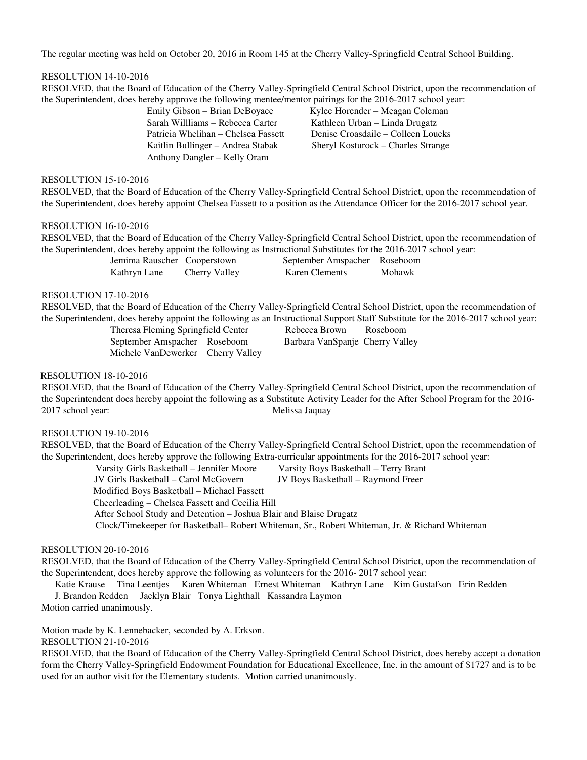The regular meeting was held on October 20, 2016 in Room 145 at the Cherry Valley-Springfield Central School Building.

## RESOLUTION 14-10-2016

RESOLVED, that the Board of Education of the Cherry Valley-Springfield Central School District, upon the recommendation of the Superintendent, does hereby approve the following mentee/mentor pairings for the 2016-2017 school year:

> Sarah Willliams – Rebecca Carter Kathleen Urban – Linda Drugatz Anthony Dangler – Kelly Oram

 Emily Gibson – Brian DeBoyace Kylee Horender – Meagan Coleman Patricia Whelihan – Chelsea Fassett Denise Croasdaile – Colleen Loucks Kaitlin Bullinger – Andrea Stabak Sheryl Kosturock – Charles Strange

# RESOLUTION 15-10-2016

RESOLVED, that the Board of Education of the Cherry Valley-Springfield Central School District, upon the recommendation of the Superintendent, does hereby appoint Chelsea Fassett to a position as the Attendance Officer for the 2016-2017 school year.

## RESOLUTION 16-10-2016

 RESOLVED, that the Board of Education of the Cherry Valley-Springfield Central School District, upon the recommendation of the Superintendent, does hereby appoint the following as Instructional Substitutes for the 2016-2017 school year:

Kathryn Lane Cherry Valley Karen Clements Mohawk

Jemima Rauscher Cooperstown September Amspacher Roseboom

## RESOLUTION 17-10-2016

 RESOLVED, that the Board of Education of the Cherry Valley-Springfield Central School District, upon the recommendation of the Superintendent, does hereby appoint the following as an Instructional Support Staff Substitute for the 2016-2017 school year:

Theresa Fleming Springfield Center Rebecca Brown Roseboom September Amspacher Roseboom Barbara VanSpanje Cherry Valley Michele VanDewerker Cherry Valley

# RESOLUTION 18-10-2016

RESOLVED, that the Board of Education of the Cherry Valley-Springfield Central School District, upon the recommendation of the Superintendent does hereby appoint the following as a Substitute Activity Leader for the After School Program for the 2016- 2017 school year: Melissa Jaquay

## RESOLUTION 19-10-2016

 RESOLVED, that the Board of Education of the Cherry Valley-Springfield Central School District, upon the recommendation of the Superintendent, does hereby approve the following Extra-curricular appointments for the 2016-2017 school year:

Varsity Girls Basketball – Jennifer Moore Varsity Boys Basketball – Terry Brant

JV Girls Basketball – Carol McGovern JV Boys Basketball – Raymond Freer

Modified Boys Basketball – Michael Fassett

Cheerleading – Chelsea Fassett and Cecilia Hill

After School Study and Detention – Joshua Blair and Blaise Drugatz

Clock/Timekeeper for Basketball– Robert Whiteman, Sr., Robert Whiteman, Jr. & Richard Whiteman

## RESOLUTION 20-10-2016

 RESOLVED, that the Board of Education of the Cherry Valley-Springfield Central School District, upon the recommendation of the Superintendent, does hereby approve the following as volunteers for the 2016- 2017 school year:

 Katie Krause Tina Leentjes Karen Whiteman Ernest Whiteman Kathryn Lane Kim Gustafson Erin Redden J. Brandon Redden Jacklyn Blair Tonya Lighthall Kassandra Laymon

Motion carried unanimously.

Motion made by K. Lennebacker, seconded by A. Erkson.

RESOLUTION 21-10-2016

RESOLVED, that the Board of Education of the Cherry Valley-Springfield Central School District, does hereby accept a donation form the Cherry Valley-Springfield Endowment Foundation for Educational Excellence, Inc. in the amount of \$1727 and is to be used for an author visit for the Elementary students. Motion carried unanimously.